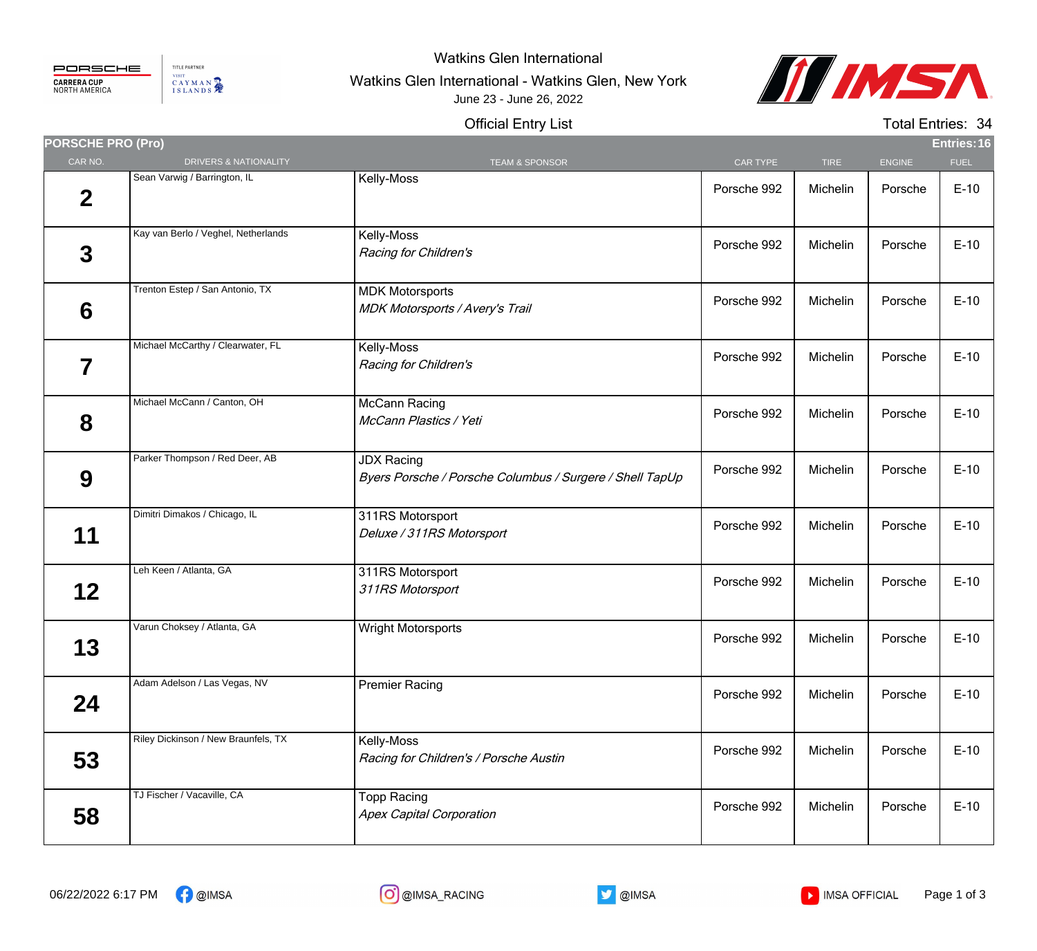

TITLE PARTNER VISIT CAYMAN

## Watkins Glen International

## Watkins Glen International - Watkins Glen, New York June 23 - June 26, 2022



## Official Entry List

Total Entries: 34

| <b>PORSCHE PRO (Pro)</b> |                                     |                                                                               |             |             |               | Entries: 16 |
|--------------------------|-------------------------------------|-------------------------------------------------------------------------------|-------------|-------------|---------------|-------------|
| CAR NO.                  | DRIVERS & NATIONALITY               | <b>TEAM &amp; SPONSOR</b>                                                     | CAR TYPE    | <b>TIRE</b> | <b>ENGINE</b> | <b>FUEL</b> |
| $\mathbf 2$              | Sean Varwig / Barrington, IL        | Kelly-Moss                                                                    | Porsche 992 | Michelin    | Porsche       | $E-10$      |
| $\overline{3}$           | Kay van Berlo / Veghel, Netherlands | Kelly-Moss<br>Racing for Children's                                           | Porsche 992 | Michelin    | Porsche       | $E-10$      |
| 6                        | Trenton Estep / San Antonio, TX     | <b>MDK Motorsports</b><br><b>MDK Motorsports / Avery's Trail</b>              | Porsche 992 | Michelin    | Porsche       | $E-10$      |
| 7                        | Michael McCarthy / Clearwater, FL   | Kelly-Moss<br>Racing for Children's                                           | Porsche 992 | Michelin    | Porsche       | $E-10$      |
| 8                        | Michael McCann / Canton, OH         | McCann Racing<br>McCann Plastics / Yeti                                       | Porsche 992 | Michelin    | Porsche       | $E-10$      |
| 9                        | Parker Thompson / Red Deer, AB      | <b>JDX Racing</b><br>Byers Porsche / Porsche Columbus / Surgere / Shell TapUp | Porsche 992 | Michelin    | Porsche       | $E-10$      |
| 11                       | Dimitri Dimakos / Chicago, IL       | 311RS Motorsport<br>Deluxe / 311RS Motorsport                                 | Porsche 992 | Michelin    | Porsche       | $E-10$      |
| 12 <sub>2</sub>          | Leh Keen / Atlanta, GA              | 311RS Motorsport<br>311RS Motorsport                                          | Porsche 992 | Michelin    | Porsche       | $E-10$      |
| 13                       | Varun Choksey / Atlanta, GA         | <b>Wright Motorsports</b>                                                     | Porsche 992 | Michelin    | Porsche       | $E-10$      |
| 24                       | Adam Adelson / Las Vegas, NV        | <b>Premier Racing</b>                                                         | Porsche 992 | Michelin    | Porsche       | $E-10$      |
| 53                       | Riley Dickinson / New Braunfels, TX | Kelly-Moss<br>Racing for Children's / Porsche Austin                          | Porsche 992 | Michelin    | Porsche       | $E-10$      |
| 58                       | TJ Fischer / Vacaville, CA          | <b>Topp Racing</b><br><b>Apex Capital Corporation</b>                         | Porsche 992 | Michelin    | Porsche       | $E-10$      |



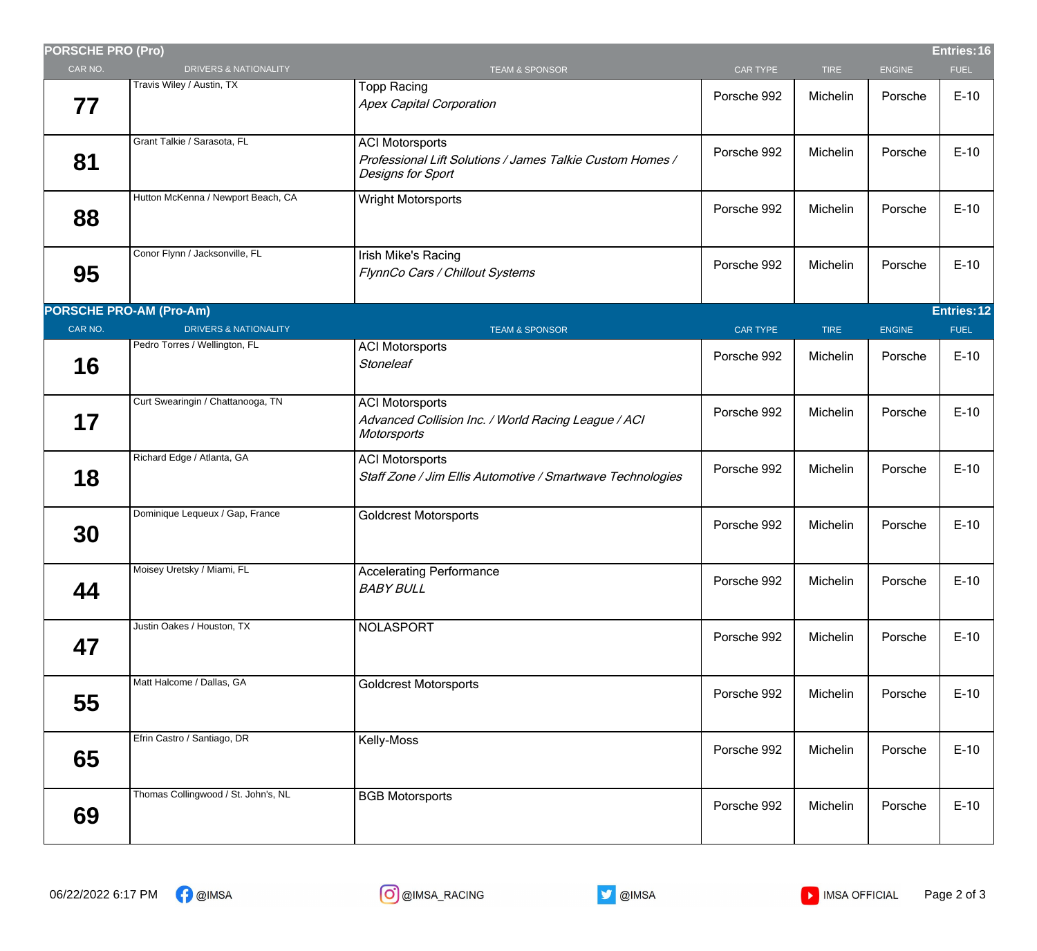| <b>PORSCHE PRO (Pro)</b> |                                     |                                                                                                          |                 |             |               | Entries: 16 |
|--------------------------|-------------------------------------|----------------------------------------------------------------------------------------------------------|-----------------|-------------|---------------|-------------|
| CAR NO.                  | <b>DRIVERS &amp; NATIONALITY</b>    | <b>TEAM &amp; SPONSOR</b>                                                                                | CAR TYPE        | <b>TIRE</b> | <b>ENGINE</b> | <b>FUEL</b> |
| 77                       | Travis Wiley / Austin, TX           | <b>Topp Racing</b><br><b>Apex Capital Corporation</b>                                                    | Porsche 992     | Michelin    | Porsche       | $E-10$      |
| 81                       | Grant Talkie / Sarasota, FL         | <b>ACI Motorsports</b><br>Professional Lift Solutions / James Talkie Custom Homes /<br>Designs for Sport | Porsche 992     | Michelin    | Porsche       | $E-10$      |
| 88                       | Hutton McKenna / Newport Beach, CA  | <b>Wright Motorsports</b>                                                                                | Porsche 992     | Michelin    | Porsche       | $E-10$      |
| 95                       | Conor Flynn / Jacksonville, FL      | Irish Mike's Racing<br>FlynnCo Cars / Chillout Systems                                                   | Porsche 992     | Michelin    | Porsche       | $E-10$      |
|                          | <b>PORSCHE PRO-AM (Pro-Am)</b>      |                                                                                                          |                 |             |               | Entries: 12 |
| CAR NO.                  | <b>DRIVERS &amp; NATIONALITY</b>    | <b>TEAM &amp; SPONSOR</b>                                                                                | <b>CAR TYPE</b> | <b>TIRE</b> | <b>ENGINE</b> | <b>FUEL</b> |
| 16                       | Pedro Torres / Wellington, FL       | <b>ACI Motorsports</b><br><b>Stoneleaf</b>                                                               | Porsche 992     | Michelin    | Porsche       | $E-10$      |
| 17                       | Curt Swearingin / Chattanooga, TN   | <b>ACI Motorsports</b><br>Advanced Collision Inc. / World Racing League / ACI<br>Motorsports             | Porsche 992     | Michelin    | Porsche       | $E-10$      |
| 18                       | Richard Edge / Atlanta, GA          | <b>ACI Motorsports</b><br>Staff Zone / Jim Ellis Automotive / Smartwave Technologies                     | Porsche 992     | Michelin    | Porsche       | $E-10$      |
| 30                       | Dominique Lequeux / Gap, France     | <b>Goldcrest Motorsports</b>                                                                             | Porsche 992     | Michelin    | Porsche       | $E-10$      |
| 44                       | Moisey Uretsky / Miami, FL          | <b>Accelerating Performance</b><br><b>BABY BULL</b>                                                      | Porsche 992     | Michelin    | Porsche       | $E-10$      |
| 47                       | Justin Oakes / Houston, TX          | NOLASPORT                                                                                                | Porsche 992     | Michelin    | Porsche       | $E-10$      |
| 55                       | Matt Halcome / Dallas, GA           | <b>Goldcrest Motorsports</b>                                                                             | Porsche 992     | Michelin    | Porsche       | $E-10$      |
| 65                       | Efrin Castro / Santiago, DR         | Kelly-Moss                                                                                               | Porsche 992     | Michelin    | Porsche       | $E-10$      |
| 69                       | Thomas Collingwood / St. John's, NL | <b>BGB Motorsports</b>                                                                                   | Porsche 992     | Michelin    | Porsche       | $E-10$      |
|                          |                                     |                                                                                                          |                 |             |               |             |